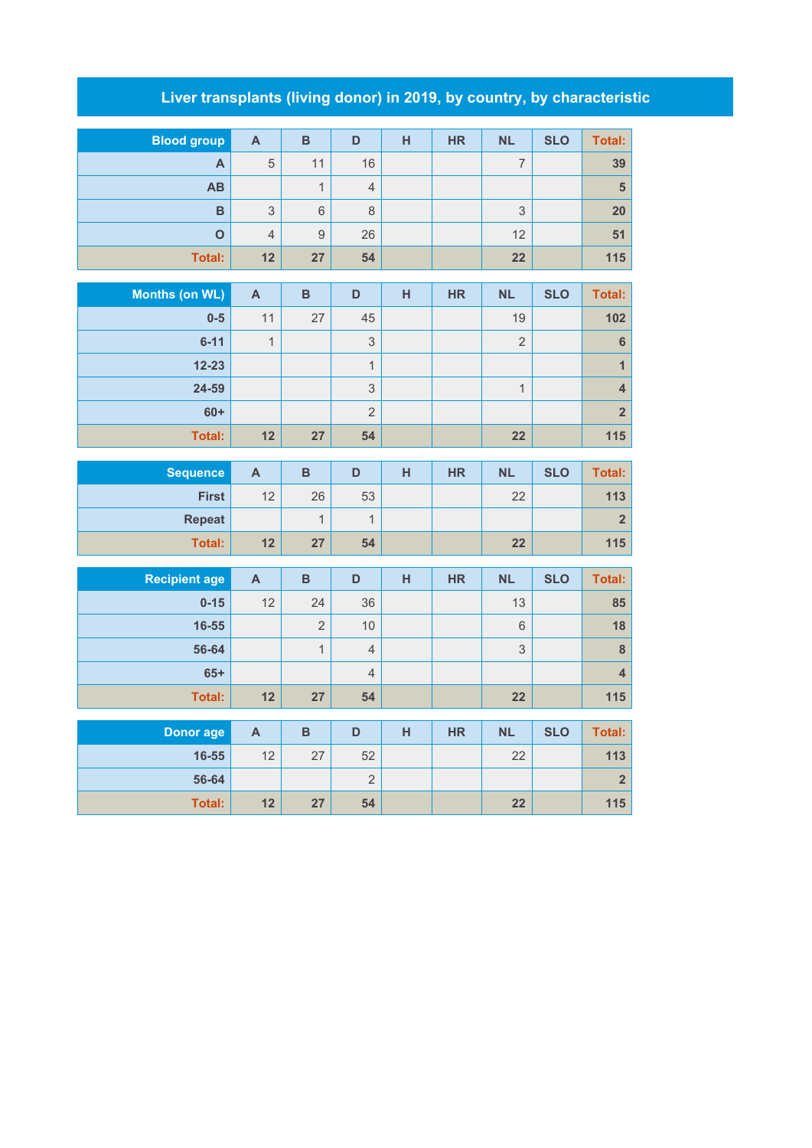## **Liver transplants (living donor) in 2019, by country, by characteristic**

| <b>Blood group</b> | $\mathsf{A}$   | B  | D              | н | <b>HR</b> | <b>NL</b> | <b>SLO</b> | Total: |
|--------------------|----------------|----|----------------|---|-----------|-----------|------------|--------|
| A                  | 5              | 11 | 16             |   |           | ⇁         |            | 39     |
| AB                 |                |    | $\overline{4}$ |   |           |           |            | 5      |
| B                  | 3              | 6  | 8              |   |           | 3         |            | 20     |
| O                  | $\overline{4}$ | 9  | 26             |   |           | 12        |            | 51     |
| Total:             | 12             | 27 | 54             |   |           | 22        |            | 115    |

| Months (on WL) | $\mathsf{A}$ | B  | D              | н | <b>HR</b> | <b>NL</b>      | <b>SLO</b> | Total:         |
|----------------|--------------|----|----------------|---|-----------|----------------|------------|----------------|
| $0-5$          | 11           | 27 | 45             |   |           | 19             |            | 102            |
| $6 - 11$       | 1            |    | 3              |   |           | $\overline{2}$ |            | 6              |
| $12 - 23$      |              |    | 4              |   |           |                |            |                |
| 24-59          |              |    | 3              |   |           | $\overline{ }$ |            | 4              |
| $60+$          |              |    | $\overline{2}$ |   |           |                |            | 2 <sup>2</sup> |
| <b>Total:</b>  | 12           | 27 | 54             |   |           | 22             |            | 115            |

| <b>Sequence</b> | $\mathbf{A}$ | в  | D  | н | <b>HR</b> | <b>NL</b> | <b>SLO</b> | Total: |
|-----------------|--------------|----|----|---|-----------|-----------|------------|--------|
| <b>First</b>    | 12           | 26 | 53 |   |           | 22        |            | 113    |
| <b>Repeat</b>   |              |    |    |   |           |           |            |        |
| <b>Total:</b>   | 12           | 27 | 54 |   |           | 22        |            | 115    |

| <b>Recipient age</b> | A  | B              | D              | н | <b>HR</b> | <b>NL</b> | <b>SLO</b> | Total: |
|----------------------|----|----------------|----------------|---|-----------|-----------|------------|--------|
| $0 - 15$             | 12 | 24             | 36             |   |           | 13        |            | 85     |
| 16-55                |    | $\overline{2}$ | 10             |   |           | 6         |            | 18     |
| 56-64                |    | $\overline{A}$ | $\overline{4}$ |   |           | 3         |            | 8      |
| $65+$                |    |                | $\overline{4}$ |   |           |           |            |        |
| Total:               | 12 | 27             | 54             |   |           | 22        |            | 115    |

| Donor age | A  | в  |    | н | <b>HR</b> | <b>NL</b> | <b>SLO</b> | Total: |
|-----------|----|----|----|---|-----------|-----------|------------|--------|
| 16-55     | 12 | 27 | 52 |   |           | 22        |            | 113    |
| 56-64     |    |    | ∼  |   |           |           |            |        |
| Total:    | 12 | 27 | 54 |   |           | 22        |            | 115    |